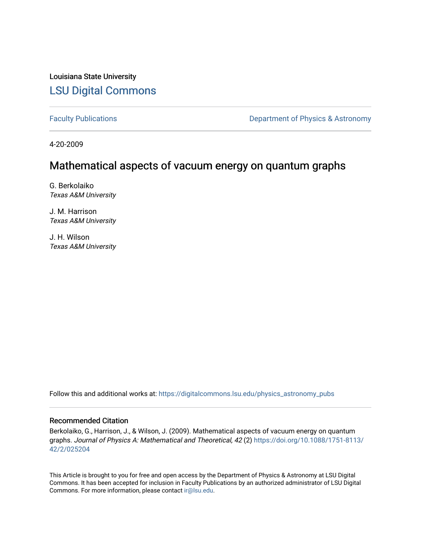Louisiana State University [LSU Digital Commons](https://digitalcommons.lsu.edu/)

[Faculty Publications](https://digitalcommons.lsu.edu/physics_astronomy_pubs) **Exercise 2** Constant Department of Physics & Astronomy

4-20-2009

# Mathematical aspects of vacuum energy on quantum graphs

G. Berkolaiko Texas A&M University

J. M. Harrison Texas A&M University

J. H. Wilson Texas A&M University

Follow this and additional works at: [https://digitalcommons.lsu.edu/physics\\_astronomy\\_pubs](https://digitalcommons.lsu.edu/physics_astronomy_pubs?utm_source=digitalcommons.lsu.edu%2Fphysics_astronomy_pubs%2F5809&utm_medium=PDF&utm_campaign=PDFCoverPages) 

# Recommended Citation

Berkolaiko, G., Harrison, J., & Wilson, J. (2009). Mathematical aspects of vacuum energy on quantum graphs. Journal of Physics A: Mathematical and Theoretical, 42 (2) [https://doi.org/10.1088/1751-8113/](https://doi.org/10.1088/1751-8113/42/2/025204) [42/2/025204](https://doi.org/10.1088/1751-8113/42/2/025204) 

This Article is brought to you for free and open access by the Department of Physics & Astronomy at LSU Digital Commons. It has been accepted for inclusion in Faculty Publications by an authorized administrator of LSU Digital Commons. For more information, please contact [ir@lsu.edu](mailto:ir@lsu.edu).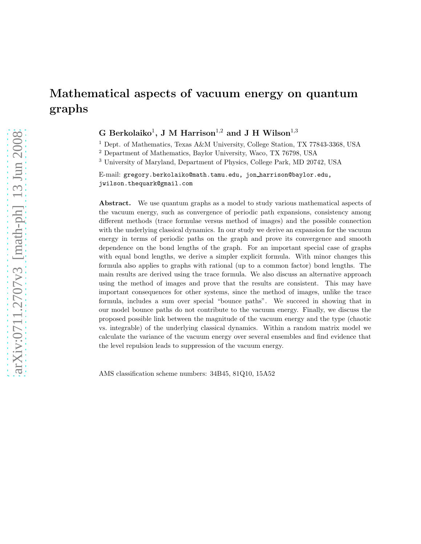# Mathematical aspects of vacuum energy on quantum graphs

G Berkolaiko<sup>1</sup>, J M Harrison<sup>1,2</sup> and J H Wilson<sup>1,3</sup>

<sup>1</sup> Dept. of Mathematics, Texas A&M University, College Station, TX 77843-3368, USA

<sup>2</sup> Department of Mathematics, Baylor University, Waco, TX 76798, USA

<sup>3</sup> University of Maryland, Department of Physics, College Park, MD 20742, USA

E-mail: gregory.berkolaiko@math.tamu.edu, jon harrison@baylor.edu, jwilson.thequark@gmail.com

Abstract. We use quantum graphs as a model to study various mathematical aspects of the vacuum energy, such as convergence of periodic path expansions, consistency among different methods (trace formulae versus method of images) and the possible connection with the underlying classical dynamics. In our study we derive an expansion for the vacuum energy in terms of periodic paths on the graph and prove its convergence and smooth dependence on the bond lengths of the graph. For an important special case of graphs with equal bond lengths, we derive a simpler explicit formula. With minor changes this formula also applies to graphs with rational (up to a common factor) bond lengths. The main results are derived using the trace formula. We also discuss an alternative approach using the method of images and prove that the results are consistent. This may have important consequences for other systems, since the method of images, unlike the trace formula, includes a sum over special "bounce paths". We succeed in showing that in our model bounce paths do not contribute to the vacuum energy. Finally, we discuss the proposed possible link between the magnitude of the vacuum energy and the type (chaotic vs. integrable) of the underlying classical dynamics. Within a random matrix model we calculate the variance of the vacuum energy over several ensembles and find evidence that the level repulsion leads to suppression of the vacuum energy.

AMS classification scheme numbers: 34B45, 81Q10, 15A52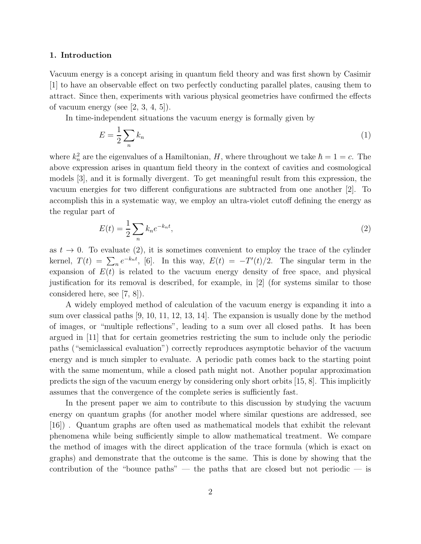### 1. Introduction

Vacuum energy is a concept arising in quantum field theory and was first shown by Casimir [1] to have an observable effect on two perfectly conducting parallel plates, causing them to attract. Since then, experiments with various physical geometries have confirmed the effects of vacuum energy (see  $[2, 3, 4, 5]$ ).

In time-independent situations the vacuum energy is formally given by

$$
E = \frac{1}{2} \sum_{n} k_n \tag{1}
$$

where  $k_n^2$  are the eigenvalues of a Hamiltonian, H, where throughout we take  $\hbar = 1 = c$ . The above expression arises in quantum field theory in the context of cavities and cosmological models [3], and it is formally divergent. To get meaningful result from this expression, the vacuum energies for two different configurations are subtracted from one another [2]. To accomplish this in a systematic way, we employ an ultra-violet cutoff defining the energy as the regular part of

$$
E(t) = \frac{1}{2} \sum_{n} k_n e^{-k_n t},
$$
\n(2)

as  $t \to 0$ . To evaluate (2), it is sometimes convenient to employ the trace of the cylinder kernel,  $T(t) = \sum_{n} e^{-k_n t}$ , [6]. In this way,  $E(t) = -T'(t)/2$ . The singular term in the expansion of  $E(t)$  is related to the vacuum energy density of free space, and physical justification for its removal is described, for example, in [2] (for systems similar to those considered here, see [7, 8]).

A widely employed method of calculation of the vacuum energy is expanding it into a sum over classical paths [9, 10, 11, 12, 13, 14]. The expansion is usually done by the method of images, or "multiple reflections", leading to a sum over all closed paths. It has been argued in [11] that for certain geometries restricting the sum to include only the periodic paths ("semiclassical evaluation") correctly reproduces asymptotic behavior of the vacuum energy and is much simpler to evaluate. A periodic path comes back to the starting point with the same momentum, while a closed path might not. Another popular approximation predicts the sign of the vacuum energy by considering only short orbits [15, 8]. This implicitly assumes that the convergence of the complete series is sufficiently fast.

In the present paper we aim to contribute to this discussion by studying the vacuum energy on quantum graphs (for another model where similar questions are addressed, see [16]) . Quantum graphs are often used as mathematical models that exhibit the relevant phenomena while being sufficiently simple to allow mathematical treatment. We compare the method of images with the direct application of the trace formula (which is exact on graphs) and demonstrate that the outcome is the same. This is done by showing that the contribution of the "bounce paths" — the paths that are closed but not periodic — is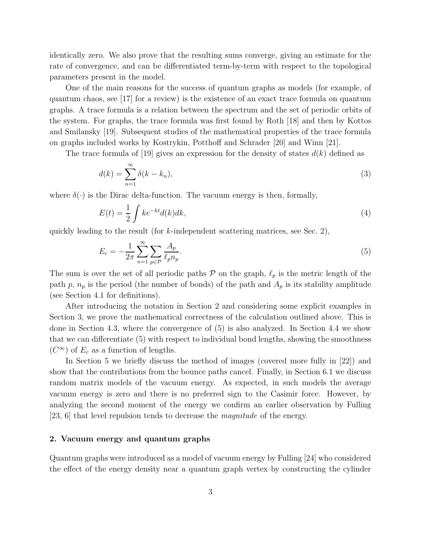identically zero. We also prove that the resulting sums converge, giving an estimate for the rate of convergence, and can be differentiated term-by-term with respect to the topological parameters present in the model.

One of the main reasons for the success of quantum graphs as models (for example, of quantum chaos, see [17] for a review) is the existence of an exact trace formula on quantum graphs. A trace formula is a relation between the spectrum and the set of periodic orbits of the system. For graphs, the trace formula was first found by Roth [18] and then by Kottos and Smilansky [19]. Subsequent studies of the mathematical properties of the trace formula on graphs included works by Kostrykin, Potthoff and Schrader [20] and Winn [21].

The trace formula of [19] gives an expression for the density of states  $d(k)$  defined as

$$
d(k) = \sum_{n=1}^{\infty} \delta(k - k_n),\tag{3}
$$

where  $\delta(\cdot)$  is the Dirac delta-function. The vacuum energy is then, formally,

$$
E(t) = \frac{1}{2} \int k e^{-kt} d(k) dk,
$$
\n(4)

quickly leading to the result (for  $k$ -independent scattering matrices, see Sec. 2),

$$
E_c = -\frac{1}{2\pi} \sum_{n=1}^{\infty} \sum_{p \in \mathcal{P}} \frac{A_p}{\ell_p n_p}.
$$
\n
$$
\tag{5}
$$

The sum is over the set of all periodic paths  $P$  on the graph,  $\ell_p$  is the metric length of the path p,  $n_p$  is the period (the number of bonds) of the path and  $A_p$  is its stability amplitude (see Section 4.1 for definitions).

After introducing the notation in Section 2 and considering some explicit examples in Section 3, we prove the mathematical correctness of the calculation outlined above. This is done in Section 4.3, where the convergence of (5) is also analyzed. In Section 4.4 we show that we can differentiate (5) with respect to individual bond lengths, showing the smoothness  $(C^{\infty})$  of  $E_c$  as a function of lengths.

In Section 5 we briefly discuss the method of images (covered more fully in [22]) and show that the contributions from the bounce paths cancel. Finally, in Section 6.1 we discuss random matrix models of the vacuum energy. As expected, in such models the average vacuum energy is zero and there is no preferred sign to the Casimir force. However, by analyzing the second moment of the energy we confirm an earlier observation by Fulling [23, 6] that level repulsion tends to decrease the magnitude of the energy.

# 2. Vacuum energy and quantum graphs

Quantum graphs were introduced as a model of vacuum energy by Fulling [24] who considered the effect of the energy density near a quantum graph vertex by constructing the cylinder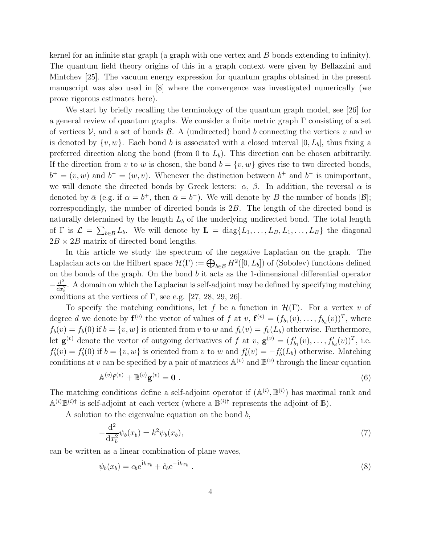kernel for an infinite star graph (a graph with one vertex and  $B$  bonds extending to infinity). The quantum field theory origins of this in a graph context were given by Bellazzini and Mintchev [25]. The vacuum energy expression for quantum graphs obtained in the present manuscript was also used in [8] where the convergence was investigated numerically (we prove rigorous estimates here).

We start by briefly recalling the terminology of the quantum graph model, see [26] for a general review of quantum graphs. We consider a finite metric graph  $\Gamma$  consisting of a set of vertices  $\mathcal{V}$ , and a set of bonds  $\mathcal{B}$ . A (undirected) bond b connecting the vertices v and w is denoted by  $\{v, w\}$ . Each bond b is associated with a closed interval  $[0, L_b]$ , thus fixing a preferred direction along the bond (from 0 to  $L<sub>b</sub>$ ). This direction can be chosen arbitrarily. If the direction from v to w is chosen, the bond  $b = \{v, w\}$  gives rise to two directed bonds,  $b^+ = (v, w)$  and  $b^- = (w, v)$ . Whenever the distinction between  $b^+$  and  $b^-$  is unimportant, we will denote the directed bonds by Greek letters:  $\alpha$ ,  $\beta$ . In addition, the reversal  $\alpha$  is denoted by  $\bar{\alpha}$  (e.g. if  $\alpha = b^+$ , then  $\bar{\alpha} = b^-$ ). We will denote by B the number of bonds  $|\mathcal{B}|$ ; correspondingly, the number of directed bonds is 2B. The length of the directed bond is naturally determined by the length  $L_b$  of the underlying undirected bond. The total length of  $\Gamma$  is  $\mathcal{L} = \sum_{b \in \mathcal{B}} L_b$ . We will denote by  $\mathbf{L} = \text{diag}\{L_1, \ldots, L_B, L_1, \ldots, L_B\}$  the diagonal  $2B \times 2B$  matrix of directed bond lengths.

In this article we study the spectrum of the negative Laplacian on the graph. The Laplacian acts on the Hilbert space  $\mathcal{H}(\Gamma) := \bigoplus_{b \in \mathcal{B}} H^2([0, L_b])$  of (Sobolev) functions defined on the bonds of the graph. On the bond  $b$  it acts as the 1-dimensional differential operator  $-\frac{\mathrm{d}^2}{\mathrm{d}x}$  $\frac{d^2}{dx_h^2}$ . A domain on which the Laplacian is self-adjoint may be defined by specifying matching conditions at the vertices of  $\Gamma$ , see e.g. [27, 28, 29, 26].

To specify the matching conditions, let f be a function in  $\mathcal{H}(\Gamma)$ . For a vertex v of degree d we denote by  $f^{(v)}$  the vector of values of f at  $v$ ,  $f^{(v)} = (f_{b_1}(v), \ldots, f_{b_d}(v))^T$ , where  $f_b(v) = f_b(0)$  if  $b = \{v, w\}$  is oriented from v to w and  $f_b(v) = f_b(L_b)$  otherwise. Furthermore, let  $\mathbf{g}^{(v)}$  denote the vector of outgoing derivatives of f at v,  $\mathbf{g}^{(v)} = (f'_{b_1}(v), \ldots, f'_{b_d}(v))^T$ , i.e.  $f'_b(v) = f'_b(0)$  if  $b = \{v, w\}$  is oriented from v to w and  $f'_b(v) = -f'_b(L_b)$  otherwise. Matching conditions at v can be specified by a pair of matrices  $\mathbb{A}^{(v)}$  and  $\mathbb{B}^{(v)}$  through the linear equation

$$
\mathbb{A}^{(v)}\mathbf{f}^{(v)} + \mathbb{B}^{(v)}\mathbf{g}^{(v)} = \mathbf{0} \tag{6}
$$

The matching conditions define a self-adjoint operator if  $(\mathbb{A}^{(i)}, \mathbb{B}^{(i)})$  has maximal rank and  $\mathbb{A}^{(i)}\mathbb{B}^{(i)\dagger}$  is self-adjoint at each vertex (where a  $\mathbb{B}^{(i)\dagger}$  represents the adjoint of  $\mathbb{B}$ ).

A solution to the eigenvalue equation on the bond  $b$ ,

$$
-\frac{\mathrm{d}^2}{\mathrm{d}x_b^2}\psi_b(x_b) = k^2\psi_b(x_b),\tag{7}
$$

can be written as a linear combination of plane waves,

$$
\psi_b(x_b) = c_b e^{\mathbf{i}kx_b} + \hat{c}_b e^{-\mathbf{i}kx_b} \tag{8}
$$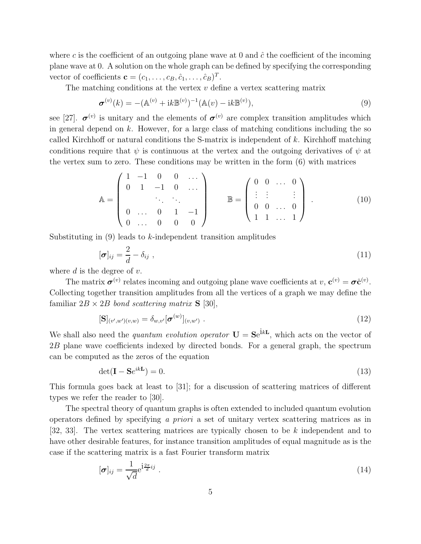where c is the coefficient of an outgoing plane wave at 0 and  $\hat{c}$  the coefficient of the incoming plane wave at 0. A solution on the whole graph can be defined by specifying the corresponding vector of coefficients  $\mathbf{c} = (c_1, \ldots, c_B, \hat{c}_1, \ldots, \hat{c}_B)^T$ .

The matching conditions at the vertex  $v$  define a vertex scattering matrix

$$
\boldsymbol{\sigma}^{(v)}(k) = -(\mathbb{A}^{(v)} + ik\mathbb{B}^{(v)})^{-1}(\mathbb{A}(v) - ik\mathbb{B}^{(v)}),
$$
\n(9)

see [27].  $\sigma^{(v)}$  is unitary and the elements of  $\sigma^{(v)}$  are complex transition amplitudes which in general depend on  $k$ . However, for a large class of matching conditions including the so called Kirchhoff or natural conditions the S-matrix is independent of  $k$ . Kirchhoff matching conditions require that  $\psi$  is continuous at the vertex and the outgoing derivatives of  $\psi$  at the vertex sum to zero. These conditions may be written in the form (6) with matrices

$$
\mathbb{A} = \begin{pmatrix} 1 & -1 & 0 & 0 & \cdots \\ 0 & 1 & -1 & 0 & \cdots \\ & & \ddots & \ddots & \\ 0 & \cdots & 0 & 1 & -1 \\ 0 & \cdots & 0 & 0 & 0 \end{pmatrix} \qquad \mathbb{B} = \begin{pmatrix} 0 & 0 & \cdots & 0 \\ \vdots & \vdots & & \vdots \\ 0 & 0 & \cdots & 0 \\ 1 & 1 & \cdots & 1 \end{pmatrix} . \tag{10}
$$

Substituting in  $(9)$  leads to k-independent transition amplitudes

$$
[\boldsymbol{\sigma}]_{ij} = \frac{2}{d} - \delta_{ij} \tag{11}
$$

where  $d$  is the degree of  $v$ .

The matrix  $\sigma^{(v)}$  relates incoming and outgoing plane wave coefficients at  $v, \mathbf{c}^{(v)} = \sigma \hat{\mathbf{c}}^{(v)}$ . Collecting together transition amplitudes from all the vertices of a graph we may define the familiar  $2B \times 2B$  bond scattering matrix **S** [30],

$$
[\mathbf{S}]_{(v',w')(v,w)} = \delta_{w,v'}[\boldsymbol{\sigma}^{(w)}]_{(v,w')} .
$$
\n(12)

We shall also need the *quantum evolution operator*  $U = Se^{ikL}$ , which acts on the vector of 2B plane wave coefficients indexed by directed bonds. For a general graph, the spectrum can be computed as the zeros of the equation

$$
\det(\mathbf{I} - \mathbf{S}e^{ik\mathbf{L}}) = 0. \tag{13}
$$

This formula goes back at least to [31]; for a discussion of scattering matrices of different types we refer the reader to [30].

The spectral theory of quantum graphs is often extended to included quantum evolution operators defined by specifying a priori a set of unitary vertex scattering matrices as in [32, 33]. The vertex scattering matrices are typically chosen to be  $k$  independent and to have other desirable features, for instance transition amplitudes of equal magnitude as is the case if the scattering matrix is a fast Fourier transform matrix

$$
[\boldsymbol{\sigma}]_{ij} = \frac{1}{\sqrt{d}} e^{\mathbf{i}\frac{2\pi}{d}ij} \tag{14}
$$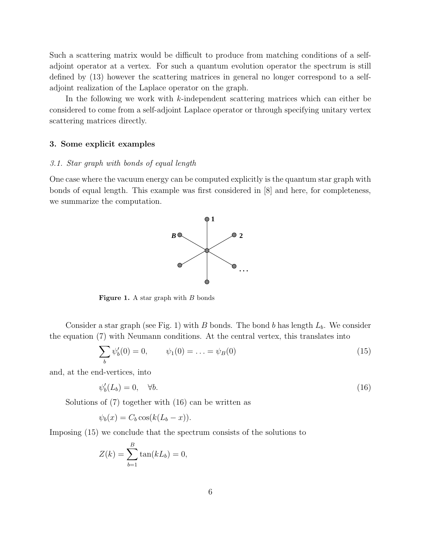Such a scattering matrix would be difficult to produce from matching conditions of a selfadjoint operator at a vertex. For such a quantum evolution operator the spectrum is still defined by (13) however the scattering matrices in general no longer correspond to a selfadjoint realization of the Laplace operator on the graph.

In the following we work with k-independent scattering matrices which can either be considered to come from a self-adjoint Laplace operator or through specifying unitary vertex scattering matrices directly.

#### 3. Some explicit examples

#### 3.1. Star graph with bonds of equal length

One case where the vacuum energy can be computed explicitly is the quantum star graph with bonds of equal length. This example was first considered in [8] and here, for completeness, we summarize the computation.



Figure 1. A star graph with  $B$  bonds

Consider a star graph (see Fig. 1) with B bonds. The bond b has length  $L_b$ . We consider the equation (7) with Neumann conditions. At the central vertex, this translates into

$$
\sum_{b} \psi'_b(0) = 0, \qquad \psi_1(0) = \ldots = \psi_B(0) \tag{15}
$$

and, at the end-vertices, into

$$
\psi_b'(L_b) = 0, \quad \forall b. \tag{16}
$$

Solutions of (7) together with (16) can be written as

$$
\psi_b(x) = C_b \cos(k(L_b - x)).
$$

Imposing (15) we conclude that the spectrum consists of the solutions to

$$
Z(k) = \sum_{b=1}^{B} \tan(kL_b) = 0,
$$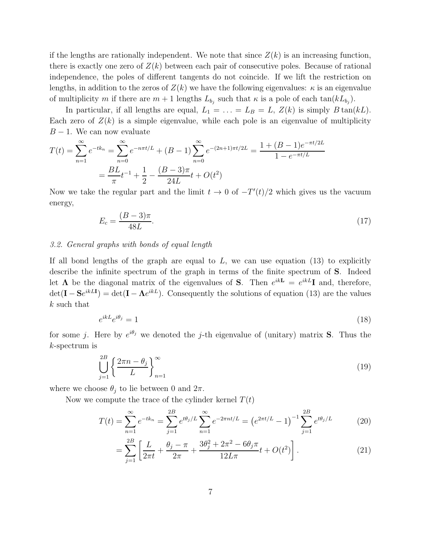if the lengths are rationally independent. We note that since  $Z(k)$  is an increasing function, there is exactly one zero of  $Z(k)$  between each pair of consecutive poles. Because of rational independence, the poles of different tangents do not coincide. If we lift the restriction on lengths, in addition to the zeros of  $Z(k)$  we have the following eigenvalues:  $\kappa$  is an eigenvalue of multiplicity m if there are  $m+1$  lengths  $L_{b_j}$  such that  $\kappa$  is a pole of each  $\tan(kL_{b_j})$ .

In particular, if all lengths are equal,  $L_1 = \ldots = L_B = L$ ,  $Z(k)$  is simply  $B \tan(kL)$ . Each zero of  $Z(k)$  is a simple eigenvalue, while each pole is an eigenvalue of multiplicity  $B - 1$ . We can now evaluate

$$
T(t) = \sum_{n=1}^{\infty} e^{-tk_n} = \sum_{n=0}^{\infty} e^{-n\pi t/L} + (B - 1) \sum_{n=0}^{\infty} e^{-(2n+1)\pi t/2L} = \frac{1 + (B - 1)e^{-\pi t/2L}}{1 - e^{-\pi t/L}}
$$

$$
= \frac{BL}{\pi} t^{-1} + \frac{1}{2} - \frac{(B - 3)\pi}{24L} t + O(t^2)
$$

Now we take the regular part and the limit  $t \to 0$  of  $-T'(t)/2$  which gives us the vacuum energy,

$$
E_c = \frac{(B-3)\pi}{48L}.\tag{17}
$$

#### 3.2. General graphs with bonds of equal length

If all bond lengths of the graph are equal to  $L$ , we can use equation (13) to explicitly describe the infinite spectrum of the graph in terms of the finite spectrum of S. Indeed let  $\Lambda$  be the diagonal matrix of the eigenvalues of **S**. Then  $e^{ikL} = e^{ikL}I$  and, therefore,  $\det(\mathbf{I} - \mathbf{S}e^{ikL\mathbf{I}}) = \det(\mathbf{I} - \mathbf{\Lambda}e^{ikL})$ . Consequently the solutions of equation (13) are the values k such that

$$
e^{ikL}e^{i\theta_j} = 1\tag{18}
$$

for some j. Here by  $e^{i\theta_j}$  we denoted the j-th eigenvalue of (unitary) matrix **S**. Thus the k-spectrum is

$$
\bigcup_{j=1}^{2B} \left\{ \frac{2\pi n - \theta_j}{L} \right\}_{n=1}^{\infty} \tag{19}
$$

where we choose  $\theta_j$  to lie between 0 and  $2\pi$ .

Now we compute the trace of the cylinder kernel  $T(t)$ 

$$
T(t) = \sum_{n=1}^{\infty} e^{-tk_n} = \sum_{j=1}^{2B} e^{t\theta_j/L} \sum_{n=1}^{\infty} e^{-2\pi nt/L} = \left(e^{2\pi t/L} - 1\right)^{-1} \sum_{j=1}^{2B} e^{t\theta_j/L} \tag{20}
$$

$$
= \sum_{j=1}^{2B} \left[ \frac{L}{2\pi t} + \frac{\theta_j - \pi}{2\pi} + \frac{3\theta_j^2 + 2\pi^2 - 6\theta_j \pi}{12L\pi} t + O(t^2) \right].
$$
 (21)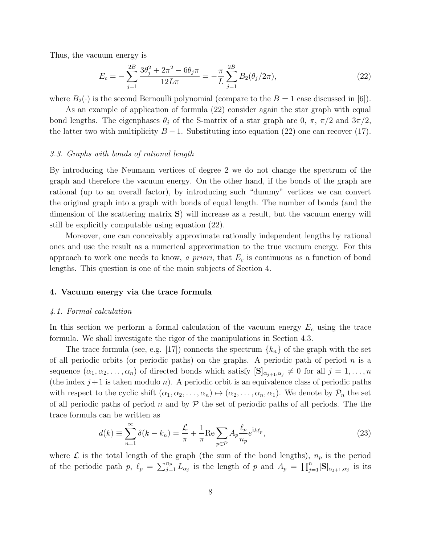Thus, the vacuum energy is

$$
E_c = -\sum_{j=1}^{2B} \frac{3\theta_j^2 + 2\pi^2 - 6\theta_j \pi}{12L\pi} = -\frac{\pi}{L} \sum_{j=1}^{2B} B_2(\theta_j/2\pi),\tag{22}
$$

where  $B_2(\cdot)$  is the second Bernoulli polynomial (compare to the  $B = 1$  case discussed in [6]).

As an example of application of formula (22) consider again the star graph with equal bond lengths. The eigenphases  $\theta_i$  of the S-matrix of a star graph are 0,  $\pi$ ,  $\pi/2$  and  $3\pi/2$ , the latter two with multiplicity  $B - 1$ . Substituting into equation (22) one can recover (17).

#### 3.3. Graphs with bonds of rational length

By introducing the Neumann vertices of degree 2 we do not change the spectrum of the graph and therefore the vacuum energy. On the other hand, if the bonds of the graph are rational (up to an overall factor), by introducing such "dummy" vertices we can convert the original graph into a graph with bonds of equal length. The number of bonds (and the dimension of the scattering matrix S) will increase as a result, but the vacuum energy will still be explicitly computable using equation (22).

Moreover, one can conceivably approximate rationally independent lengths by rational ones and use the result as a numerical approximation to the true vacuum energy. For this approach to work one needs to know, a priori, that  $E_c$  is continuous as a function of bond lengths. This question is one of the main subjects of Section 4.

#### 4. Vacuum energy via the trace formula

#### 4.1. Formal calculation

In this section we perform a formal calculation of the vacuum energy  $E_c$  using the trace formula. We shall investigate the rigor of the manipulations in Section 4.3.

The trace formula (see, e.g. [17]) connects the spectrum  $\{k_n\}$  of the graph with the set of all periodic orbits (or periodic paths) on the graphs. A periodic path of period  $n$  is a sequence  $(\alpha_1, \alpha_2, \ldots, \alpha_n)$  of directed bonds which satisfy  $[\mathbf{S}]_{\alpha_{j+1}, \alpha_j} \neq 0$  for all  $j = 1, \ldots, n$ (the index  $j+1$  is taken modulo n). A periodic orbit is an equivalence class of periodic paths with respect to the cyclic shift  $(\alpha_1, \alpha_2, \ldots, \alpha_n) \mapsto (\alpha_2, \ldots, \alpha_n, \alpha_1)$ . We denote by  $\mathcal{P}_n$  the set of all periodic paths of period n and by  $P$  the set of periodic paths of all periods. The the trace formula can be written as

$$
d(k) \equiv \sum_{n=1}^{\infty} \delta(k - k_n) = \frac{\mathcal{L}}{\pi} + \frac{1}{\pi} \text{Re} \sum_{p \in \mathcal{P}} A_p \frac{\ell_p}{n_p} e^{\mathbf{i}k\ell_p},\tag{23}
$$

where  $\mathcal L$  is the total length of the graph (the sum of the bond lengths),  $n_p$  is the period of the periodic path p,  $\ell_p = \sum_{j=1}^{n_p} L_{\alpha_j}$  is the length of p and  $A_p = \prod_{j=1}^{n} [\mathbf{S}]_{\alpha_{j+1}, \alpha_j}$  is its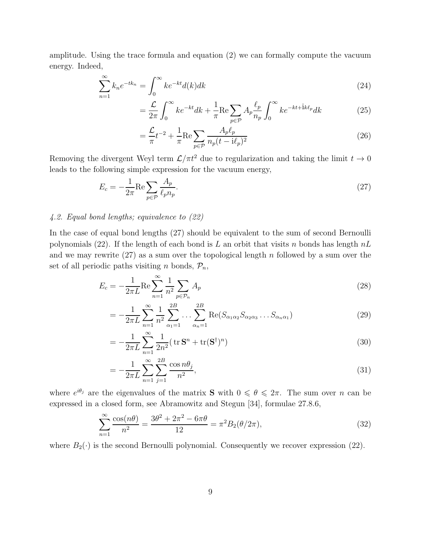amplitude. Using the trace formula and equation (2) we can formally compute the vacuum energy. Indeed,

$$
\sum_{n=1}^{\infty} k_n e^{-tk_n} = \int_0^{\infty} k e^{-kt} d(k) dk
$$
\n(24)

$$
= \frac{\mathcal{L}}{2\pi} \int_0^\infty k e^{-kt} dk + \frac{1}{\pi} \text{Re} \sum_{p \in \mathcal{P}} A_p \frac{\ell_p}{n_p} \int_0^\infty k e^{-kt + ik\ell_p} dk \tag{25}
$$

$$
=\frac{\mathcal{L}}{\pi}t^{-2} + \frac{1}{\pi}\text{Re}\sum_{p\in\mathcal{P}}\frac{A_p\ell_p}{n_p(t-\mathrm{i}\ell_p)^2}
$$
(26)

Removing the divergent Weyl term  $\mathcal{L}/\pi t^2$  due to regularization and taking the limit  $t \to 0$ leads to the following simple expression for the vacuum energy,

$$
E_c = -\frac{1}{2\pi} \text{Re} \sum_{p \in \mathcal{P}} \frac{A_p}{\ell_p n_p}.
$$
\n
$$
(27)
$$

#### 4.2. Equal bond lengths; equivalence to (22)

In the case of equal bond lengths (27) should be equivalent to the sum of second Bernoulli polynomials (22). If the length of each bond is L an orbit that visits n bonds has length  $nL$ and we may rewrite  $(27)$  as a sum over the topological length n followed by a sum over the set of all periodic paths visiting *n* bonds,  $\mathcal{P}_n$ ,

$$
E_c = -\frac{1}{2\pi L} \text{Re} \sum_{n=1}^{\infty} \frac{1}{n^2} \sum_{p \in \mathcal{P}_n} A_p \tag{28}
$$

$$
= -\frac{1}{2\pi L} \sum_{n=1}^{\infty} \frac{1}{n^2} \sum_{\alpha_1=1}^{2B} \dots \sum_{\alpha_n=1}^{2B} \text{Re}(S_{\alpha_1 \alpha_2} S_{\alpha_2 \alpha_3} \dots S_{\alpha_n \alpha_1})
$$
(29)

$$
=-\frac{1}{2\pi L}\sum_{n=1}^{\infty}\frac{1}{2n^2}(\operatorname{tr}\mathbf{S}^n+\operatorname{tr}(\mathbf{S}^\dagger)^n)
$$
(30)

$$
= -\frac{1}{2\pi L} \sum_{n=1}^{\infty} \sum_{j=1}^{2B} \frac{\cos n\theta_j}{n^2},
$$
\n(31)

where  $e^{i\theta_j}$  are the eigenvalues of the matrix **S** with  $0 \le \theta \le 2\pi$ . The sum over n can be expressed in a closed form, see Abramowitz and Stegun [34], formulae 27.8.6,

$$
\sum_{n=1}^{\infty} \frac{\cos(n\theta)}{n^2} = \frac{3\theta^2 + 2\pi^2 - 6\pi\theta}{12} = \pi^2 B_2(\theta/2\pi),
$$
\n(32)

where  $B_2(\cdot)$  is the second Bernoulli polynomial. Consequently we recover expression (22).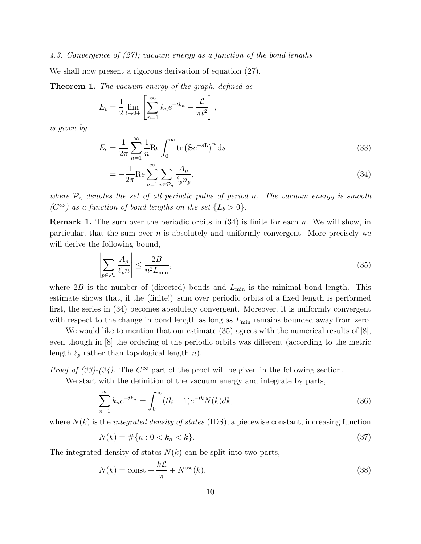#### 4.3. Convergence of (27); vacuum energy as a function of the bond lengths

We shall now present a rigorous derivation of equation (27).

Theorem 1. The vacuum energy of the graph, defined as

$$
E_c = \frac{1}{2} \lim_{t \to 0+} \left[ \sum_{n=1}^{\infty} k_n e^{-t k_n} - \frac{L}{\pi t^2} \right],
$$

is given by

$$
E_c = \frac{1}{2\pi} \sum_{n=1}^{\infty} \frac{1}{n} \text{Re} \int_0^{\infty} \text{tr} \left( \mathbf{S} e^{-s\mathbf{L}} \right)^n \text{d}s \tag{33}
$$

$$
= -\frac{1}{2\pi} \text{Re} \sum_{n=1}^{\infty} \sum_{p \in \mathcal{P}_n} \frac{A_p}{\ell_p n_p},\tag{34}
$$

where  $P_n$  denotes the set of all periodic paths of period n. The vacuum energy is smooth ( $C^{\infty}$ ) as a function of bond lengths on the set  $\{L_b > 0\}$ .

**Remark 1.** The sum over the periodic orbits in  $(34)$  is finite for each n. We will show, in particular, that the sum over  $n$  is absolutely and uniformly convergent. More precisely we will derive the following bound,

$$
\left| \sum_{p \in \mathcal{P}_n} \frac{A_p}{\ell_p n} \right| \le \frac{2B}{n^2 L_{\min}},\tag{35}
$$

where  $2B$  is the number of (directed) bonds and  $L_{\text{min}}$  is the minimal bond length. This estimate shows that, if the (finite!) sum over periodic orbits of a fixed length is performed first, the series in (34) becomes absolutely convergent. Moreover, it is uniformly convergent with respect to the change in bond length as long as  $L_{\text{min}}$  remains bounded away from zero.

We would like to mention that our estimate  $(35)$  agrees with the numerical results of  $[8]$ , even though in [8] the ordering of the periodic orbits was different (according to the metric length  $\ell_p$  rather than topological length n).

*Proof of (33)-(34)*. The  $C^{\infty}$  part of the proof will be given in the following section.

We start with the definition of the vacuum energy and integrate by parts,

$$
\sum_{n=1}^{\infty} k_n e^{-tk_n} = \int_0^{\infty} (tk - 1)e^{-tk} N(k)dk,
$$
\n(36)

where  $N(k)$  is the *integrated density of states* (IDS), a piecewise constant, increasing function

$$
N(k) = \#\{n : 0 < k_n < k\}.\tag{37}
$$

The integrated density of states  $N(k)$  can be split into two parts,

$$
N(k) = \text{const} + \frac{k\mathcal{L}}{\pi} + N^{\text{osc}}(k). \tag{38}
$$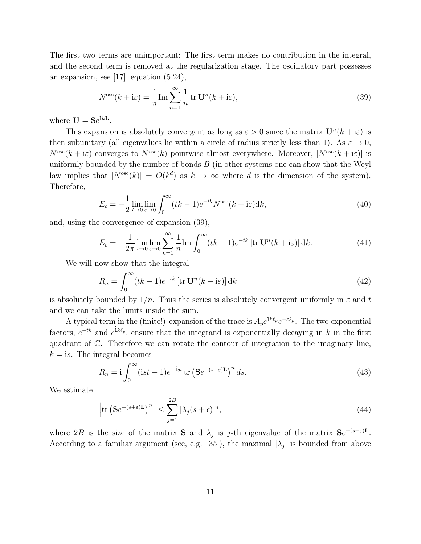The first two terms are unimportant: The first term makes no contribution in the integral, and the second term is removed at the regularization stage. The oscillatory part possesses an expansion, see [17], equation (5.24),

$$
N^{\rm osc}(k + i\varepsilon) = \frac{1}{\pi} \text{Im} \sum_{n=1}^{\infty} \frac{1}{n} \text{tr } \mathbf{U}^n(k + i\varepsilon), \tag{39}
$$

where  $\mathbf{U} = \mathbf{S}e^{\mathbf{i}k\mathbf{L}}$ .

This expansion is absolutely convergent as long as  $\varepsilon > 0$  since the matrix  $\mathbf{U}^n(k + i\varepsilon)$  is then subunitary (all eigenvalues lie within a circle of radius strictly less than 1). As  $\varepsilon \to 0$ ,  $N^{\rm osc}(k + i\varepsilon)$  converges to  $N^{\rm osc}(k)$  pointwise almost everywhere. Moreover,  $|N^{\rm osc}(k + i\varepsilon)|$  is uniformly bounded by the number of bonds  $B$  (in other systems one can show that the Weyl law implies that  $|N^{\text{osc}}(k)| = O(k^d)$  as  $k \to \infty$  where d is the dimension of the system). Therefore,

$$
E_c = -\frac{1}{2} \lim_{t \to 0} \lim_{\varepsilon \to 0} \int_0^\infty (tk - 1)e^{-tk}N^{\rm osc}(k + i\varepsilon)dk,
$$
\n(40)

and, using the convergence of expansion (39),

$$
E_c = -\frac{1}{2\pi} \lim_{t \to 0} \lim_{\varepsilon \to 0} \sum_{n=1}^{\infty} \frac{1}{n} \text{Im} \int_0^{\infty} (tk - 1)e^{-tk} \left[ \text{tr } \mathbf{U}^n(k + \mathrm{i}\varepsilon) \right] \mathrm{d}k. \tag{41}
$$

We will now show that the integral

$$
R_n = \int_0^\infty (tk - 1)e^{-tk} \left[ \text{tr } \mathbf{U}^n(k + i\varepsilon) \right] dk \tag{42}
$$

is absolutely bounded by  $1/n$ . Thus the series is absolutely convergent uniformly in  $\varepsilon$  and t and we can take the limits inside the sum.

A typical term in the (finite!) expansion of the trace is  $A_p e^{i k \ell_p} e^{-\varepsilon \ell_p}$ . The two exponential factors,  $e^{-tk}$  and  $e^{ik\ell_p}$ , ensure that the integrand is exponentially decaying in k in the first quadrant of C. Therefore we can rotate the contour of integration to the imaginary line,  $k = i s$ . The integral becomes

$$
R_n = \mathbf{i} \int_0^\infty (\mathbf{i}st - 1)e^{-\mathbf{i}st} \operatorname{tr} \left(\mathbf{S}e^{-(s+\varepsilon)\mathbf{L}}\right)^n ds. \tag{43}
$$

We estimate

$$
\left| \text{tr} \left( \mathbf{S} e^{-(s+\varepsilon)\mathbf{L}} \right)^n \right| \le \sum_{j=1}^{2B} |\lambda_j(s+\varepsilon)|^n, \tag{44}
$$

where 2B is the size of the matrix **S** and  $\lambda_j$  is j-th eigenvalue of the matrix  $\mathbf{S}e^{-(s+\varepsilon)L}$ . According to a familiar argument (see, e.g. [35]), the maximal  $|\lambda_j|$  is bounded from above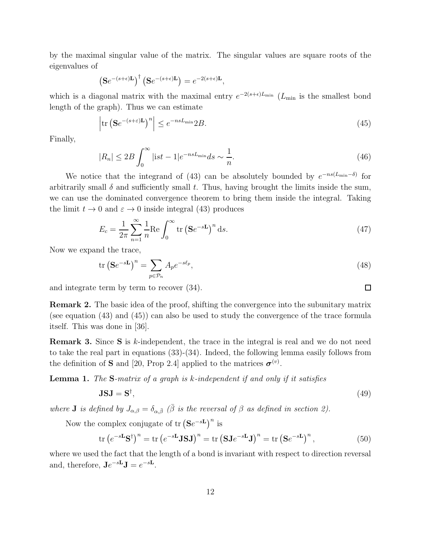by the maximal singular value of the matrix. The singular values are square roots of the eigenvalues of

$$
\left(\mathbf{S}e^{-(s+\epsilon)\mathbf{L}}\right)^{\dagger}\left(\mathbf{S}e^{-(s+\epsilon)\mathbf{L}}\right)=e^{-2(s+\epsilon)\mathbf{L}},
$$

which is a diagonal matrix with the maximal entry  $e^{-2(s+\epsilon)L_{\min}}$  ( $L_{\min}$  is the smallest bond length of the graph). Thus we can estimate

$$
\left| \text{tr} \left( \mathbf{S} e^{-(s+\varepsilon)\mathbf{L}} \right)^n \right| \le e^{-nsL_{\min}} 2B. \tag{45}
$$

Finally,

$$
|R_n| \le 2B \int_0^\infty |\mathrm{i}st - 1| e^{-nsL_{\min}} ds \sim \frac{1}{n}.\tag{46}
$$

We notice that the integrand of (43) can be absolutely bounded by  $e^{-ns(L_{\min}-\delta)}$  for arbitrarily small  $\delta$  and sufficiently small t. Thus, having brought the limits inside the sum, we can use the dominated convergence theorem to bring them inside the integral. Taking the limit  $t \to 0$  and  $\varepsilon \to 0$  inside integral (43) produces

$$
E_c = \frac{1}{2\pi} \sum_{n=1}^{\infty} \frac{1}{n} \text{Re} \int_0^{\infty} \text{tr} \left( \mathbf{S} e^{-s\mathbf{L}} \right)^n \text{d}s. \tag{47}
$$

Now we expand the trace,

$$
\operatorname{tr}\left(\mathbf{S}e^{-s\mathbf{L}}\right)^n = \sum_{p \in \mathcal{P}_n} A_p e^{-s\ell_p},\tag{48}
$$

and integrate term by term to recover (34).

Remark 2. The basic idea of the proof, shifting the convergence into the subunitary matrix (see equation (43) and (45)) can also be used to study the convergence of the trace formula itself. This was done in [36].

Remark 3. Since S is k-independent, the trace in the integral is real and we do not need to take the real part in equations (33)-(34). Indeed, the following lemma easily follows from the definition of **S** and [20, Prop 2.4] applied to the matrices  $\boldsymbol{\sigma}^{(v)}$ .

**Lemma 1.** The  $S$ -matrix of a graph is  $k$ -independent if and only if it satisfies

$$
JSJ = S^{\dagger},\tag{49}
$$

where **J** is defined by  $J_{\alpha,\beta} = \delta_{\alpha,\bar{\beta}}$  ( $\bar{\beta}$  is the reversal of  $\beta$  as defined in section 2).

Now the complex conjugate of tr  $(Se^{-sL})^n$  is

$$
\operatorname{tr}\left(e^{-s\mathbf{L}}\mathbf{S}^{\dagger}\right)^{n} = \operatorname{tr}\left(e^{-s\mathbf{L}}\mathbf{J}\mathbf{S}\mathbf{J}\right)^{n} = \operatorname{tr}\left(\mathbf{S}\mathbf{J}e^{-s\mathbf{L}}\mathbf{J}\right)^{n} = \operatorname{tr}\left(\mathbf{S}e^{-s\mathbf{L}}\right)^{n},\tag{50}
$$

where we used the fact that the length of a bond is invariant with respect to direction reversal and, therefore,  $\mathbf{J}e^{-s\mathbf{L}}\mathbf{J}=e^{-s\mathbf{L}}$ .

 $\Box$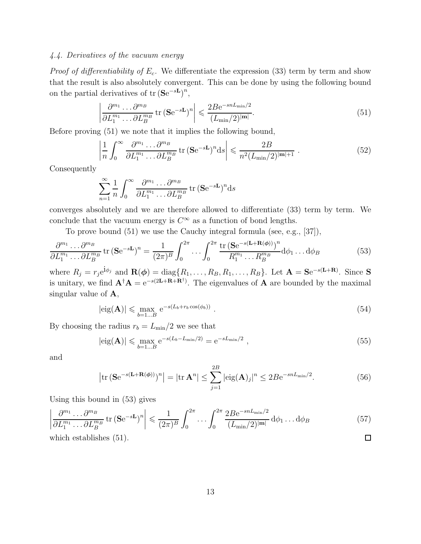# 4.4. Derivatives of the vacuum energy

*Proof of differentiability of*  $E_c$ *.* We differentiate the expression (33) term by term and show that the result is also absolutely convergent. This can be done by using the following bound on the partial derivatives of  $\{\text{se}^{-sL}\}^n$ ,

$$
\left| \frac{\partial^{m_1} \dots \partial^{m_B}}{\partial L_1^{m_1} \dots \partial L_B^{m_B}} \text{tr} \left( \mathbf{S} e^{-s \mathbf{L}} \right)^n \right| \leqslant \frac{2B e^{-s n L_{\min}/2}}{(L_{\min}/2)^{|\mathbf{m}|}}. \tag{51}
$$

Before proving (51) we note that it implies the following bound,

$$
\left| \frac{1}{n} \int_0^\infty \frac{\partial^{m_1} \dots \partial^{m_B}}{\partial L_1^{m_1} \dots \partial L_B^{m_B}} \text{tr}\left(\mathbf{S} e^{-s\mathbf{L}}\right)^n \, ds \right| \leqslant \frac{2B}{n^2 (L_{\text{min}}/2)^{|\mathbf{m}|+1}} \,. \tag{52}
$$

Consequently

$$
\sum_{n=1}^{\infty} \frac{1}{n} \int_0^{\infty} \frac{\partial^{m_1} \dots \partial^{m_B}}{\partial L_1^{m_1} \dots \partial L_B^{m_B}} \text{tr}(\mathbf{S} e^{-s\mathbf{L}})^n \text{d}s
$$

converges absolutely and we are therefore allowed to differentiate (33) term by term. We conclude that the vacuum energy is  $C^{\infty}$  as a function of bond lengths.

To prove bound (51) we use the Cauchy integral formula (see, e.g., [37]),

$$
\frac{\partial^{m_1} \dots \partial^{m_B}}{\partial L_1^{m_1} \dots \partial L_B^{m_B}} \operatorname{tr} \left( \mathbf{S} e^{-s \mathbf{L}} \right)^n = \frac{1}{(2\pi)^B} \int_0^{2\pi} \dots \int_0^{2\pi} \frac{\operatorname{tr} \left( \mathbf{S} e^{-s(\mathbf{L} + \mathbf{R}(\phi))} \right)^n}{R_1^{m_1} \dots R_B^{m_B}} d\phi_1 \dots d\phi_B \tag{53}
$$

where  $R_j = r_j e^{i\phi_j}$  and  $\mathbf{R}(\boldsymbol{\phi}) = \text{diag}\{R_1, \ldots, R_B, R_1, \ldots, R_B\}$ . Let  $\mathbf{A} = \mathbf{S} e^{-s(\mathbf{L} + \mathbf{R})}$ . Since S is unitary, we find  $\mathbf{A}^{\dagger} \mathbf{A} = e^{-s(2\mathbf{L} + \mathbf{R} + \mathbf{R}^{\dagger})}$ . The eigenvalues of **A** are bounded by the maximal singular value of A,

$$
|\text{eig}(\mathbf{A})| \leq \max_{b=1...B} e^{-s(L_b + r_b \cos(\phi_b))}.
$$
\n(54)

By choosing the radius  $r_b = L_{\text{min}}/2$  we see that

$$
|\text{eig}(\mathbf{A})| \leq \max_{b=1...B} e^{-s(L_b - L_{\min}/2)} = e^{-sL_{\min}/2} , \qquad (55)
$$

and

$$
\left|\operatorname{tr}\left(\mathbf{S}e^{-s(\mathbf{L}+\mathbf{R}(\phi))}\right)^n\right| = \left|\operatorname{tr}\mathbf{A}^n\right| \le \sum_{j=1}^{2B} \left|\operatorname{eig}(\mathbf{A})_j\right|^n \le 2B e^{-snL_{\min}/2}.\tag{56}
$$

Using this bound in (53) gives

$$
\left| \frac{\partial^{m_1} \dots \partial^{m_B}}{\partial L_1^{m_1} \dots \partial L_B^{m_B}} \text{tr} \left( \mathbf{S} e^{-s \mathbf{L}} \right)^n \right| \leq \frac{1}{(2\pi)^B} \int_0^{2\pi} \dots \int_0^{2\pi} \frac{2B e^{-s n L_{\min}/2}}{(L_{\min}/2)^{|\mathbf{m}|}} d\phi_1 \dots d\phi_B \tag{57}
$$
\nwhich establishes (51).

which establishes (51).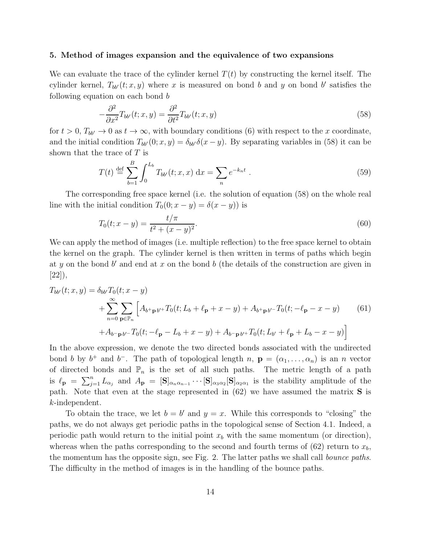#### 5. Method of images expansion and the equivalence of two expansions

We can evaluate the trace of the cylinder kernel  $T(t)$  by constructing the kernel itself. The cylinder kernel,  $T_{bb'}(t; x, y)$  where x is measured on bond b and y on bond b' satisfies the following equation on each bond b

$$
-\frac{\partial^2}{\partial x^2}T_{bb'}(t;x,y) = \frac{\partial^2}{\partial t^2}T_{bb'}(t;x,y)
$$
\n(58)

for  $t > 0$ ,  $T_{bb'} \to 0$  as  $t \to \infty$ , with boundary conditions (6) with respect to the x coordinate, and the initial condition  $T_{bb'}(0; x, y) = \delta_{bb'}\delta(x - y)$ . By separating variables in (58) it can be shown that the trace of  $T$  is

$$
T(t) \stackrel{\text{def}}{=} \sum_{b=1}^{B} \int_{0}^{L_b} T_{bb'}(t; x, x) \, \mathrm{d}x = \sum_{n} e^{-k_n t} \, . \tag{59}
$$

The corresponding free space kernel (i.e. the solution of equation (58) on the whole real line with the initial condition  $T_0(0; x - y) = \delta(x - y)$  is

$$
T_0(t; x - y) = \frac{t/\pi}{t^2 + (x - y)^2}.
$$
\n(60)

We can apply the method of images (i.e. multiple reflection) to the free space kernel to obtain the kernel on the graph. The cylinder kernel is then written in terms of paths which begin at y on the bond  $b'$  and end at x on the bond  $b$  (the details of the construction are given in [22]),

$$
T_{bb'}(t; x, y) = \delta_{bb'} T_0(t; x - y)
$$
  
+ 
$$
\sum_{n=0}^{\infty} \sum_{\mathbf{p} \in \mathbb{P}_n} \left[ A_{b^+\mathbf{p}b'^+} T_0(t; L_b + \ell_\mathbf{p} + x - y) + A_{b^+\mathbf{p}b'^-} T_0(t; -\ell_\mathbf{p} - x - y) \right]
$$
(61)  
+ 
$$
A_{b^-\mathbf{p}b'^-} T_0(t; -\ell_\mathbf{p} - L_b + x - y) + A_{b^-\mathbf{p}b'^+} T_0(t; L_{b'} + \ell_\mathbf{p} + L_b - x - y)
$$

In the above expression, we denote the two directed bonds associated with the undirected bond b by  $b^+$  and  $b^-$ . The path of topological length  $n$ ,  $\mathbf{p} = (\alpha_1, \dots, \alpha_n)$  is an n vector of directed bonds and  $\mathbb{P}_n$  is the set of all such paths. The metric length of a path is  $\ell_{\mathbf{p}} = \sum_{j=1}^{n} L_{\alpha_j}$  and  $A_{\mathbf{p}} = [\mathbf{S}]_{\alpha_n \alpha_{n-1}} \cdots [\mathbf{S}]_{\alpha_3 \alpha_2} [\mathbf{S}]_{\alpha_2 \alpha_1}$  is the stability amplitude of the path. Note that even at the stage represented in  $(62)$  we have assumed the matrix **S** is k-independent.

To obtain the trace, we let  $b = b'$  and  $y = x$ . While this corresponds to "closing" the paths, we do not always get periodic paths in the topological sense of Section 4.1. Indeed, a periodic path would return to the initial point  $x<sub>b</sub>$  with the same momentum (or direction), whereas when the paths corresponding to the second and fourth terms of  $(62)$  return to  $x<sub>b</sub>$ , the momentum has the opposite sign, see Fig. 2. The latter paths we shall call bounce paths. The difficulty in the method of images is in the handling of the bounce paths.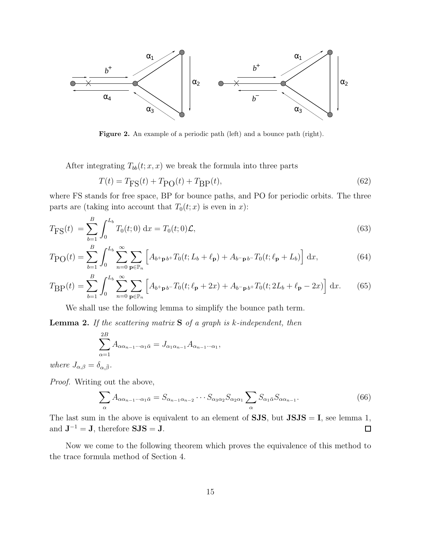

Figure 2. An example of a periodic path (left) and a bounce path (right).

After integrating  $T_{bb}(t; x, x)$  we break the formula into three parts

$$
T(t) = T_{\text{FS}}(t) + T_{\text{PO}}(t) + T_{\text{BP}}(t),
$$
\n(62)

where FS stands for free space, BP for bounce paths, and PO for periodic orbits. The three parts are (taking into account that  $T_0(t; x)$  is even in x):

$$
T_{\rm FS}(t) = \sum_{b=1}^{B} \int_0^{L_b} T_0(t;0) \, \mathrm{d}x = T_0(t;0)\mathcal{L},\tag{63}
$$

$$
T_{\rm PO}(t) = \sum_{b=1}^{B} \int_0^{L_b} \sum_{n=0}^{\infty} \sum_{\mathbf{p} \in \mathbb{P}_n} \left[ A_{b+\mathbf{p}\,b+} T_0(t; L_b + \ell_\mathbf{p}) + A_{b-\mathbf{p}\,b-} T_0(t; \ell_\mathbf{p} + L_b) \right] dx,
$$
(64)

$$
T_{\rm BP}(t) = \sum_{b=1}^{B} \int_0^{L_b} \sum_{n=0}^{\infty} \sum_{\mathbf{p} \in \mathbb{P}_n} \left[ A_{b+\mathbf{p}b-} T_0(t; \ell_{\mathbf{p}} + 2x) + A_{b-\mathbf{p}b+} T_0(t; 2L_b + \ell_{\mathbf{p}} - 2x) \right] dx.
$$
 (65)

We shall use the following lemma to simplify the bounce path term.

**Lemma 2.** If the scattering matrix  $S$  of a graph is k-independent, then

$$
\sum_{\alpha=1}^{2B} A_{\alpha\alpha_{n-1}\cdots\alpha_1\bar{\alpha}} = J_{\alpha_1\alpha_{n-1}} A_{\alpha_{n-1}\cdots\alpha_1},
$$

where  $J_{\alpha,\beta} = \delta_{\alpha,\bar{\beta}}$ .

Proof. Writing out the above,

$$
\sum_{\alpha} A_{\alpha\alpha_{n-1}\cdots\alpha_1\bar{\alpha}} = S_{\alpha_{n-1}\alpha_{n-2}} \cdots S_{\alpha_3\alpha_2} S_{\alpha_2\alpha_1} \sum_{\alpha} S_{\alpha_1\bar{\alpha}} S_{\alpha\alpha_{n-1}}.
$$
\n(66)

The last sum in the above is equivalent to an element of  $SJS$ , but  $JSJS = I$ , see lemma 1, and  $J^{-1} = J$ , therefore  $SJS = J$ .  $\Box$ 

Now we come to the following theorem which proves the equivalence of this method to the trace formula method of Section 4.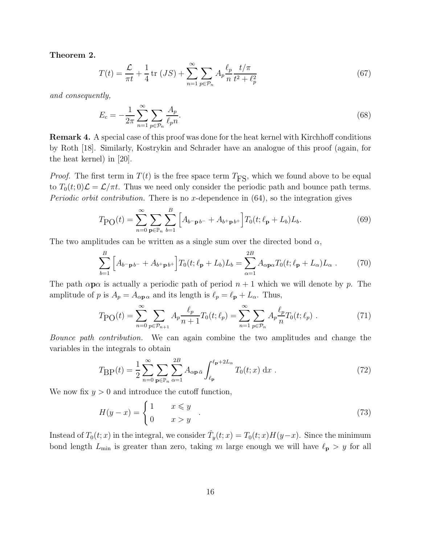Theorem 2.

$$
T(t) = \frac{\mathcal{L}}{\pi t} + \frac{1}{4} \text{tr}(JS) + \sum_{n=1}^{\infty} \sum_{p \in \mathcal{P}_n} A_p \frac{\ell_p}{n} \frac{t/\pi}{t^2 + \ell_p^2}
$$
(67)

and consequently,

$$
E_c = -\frac{1}{2\pi} \sum_{n=1}^{\infty} \sum_{p \in \mathcal{P}_n} \frac{A_p}{\ell_p n}.
$$
\n
$$
(68)
$$

Remark 4. A special case of this proof was done for the heat kernel with Kirchhoff conditions by Roth [18]. Similarly, Kostrykin and Schrader have an analogue of this proof (again, for the heat kernel) in [20].

*Proof.* The first term in  $T(t)$  is the free space term  $T_{\text{FS}}$ , which we found above to be equal to  $T_0(t;0)\mathcal{L} = \mathcal{L}/\pi t$ . Thus we need only consider the periodic path and bounce path terms. *Periodic orbit contribution.* There is no x-dependence in  $(64)$ , so the integration gives

$$
T_{\rm PO}(t) = \sum_{n=0}^{\infty} \sum_{\mathbf{p} \in \mathbb{P}_n} \sum_{b=1}^{B} \left[ A_{b-\mathbf{p}b-} + A_{b+\mathbf{p}b+} \right] T_0(t; \ell_{\mathbf{p}} + L_b) L_b.
$$
 (69)

The two amplitudes can be written as a single sum over the directed bond  $\alpha$ ,

$$
\sum_{b=1}^{B} \left[ A_{b-\mathbf{p}b^{-}} + A_{b^{+}\mathbf{p}b^{+}} \right] T_0(t; \ell_{\mathbf{p}} + L_b) L_b = \sum_{\alpha=1}^{2B} A_{\alpha \mathbf{p} \alpha} T_0(t; \ell_{\mathbf{p}} + L_{\alpha}) L_{\alpha} . \tag{70}
$$

The path  $\alpha p\alpha$  is actually a periodic path of period  $n + 1$  which we will denote by p. The amplitude of p is  $A_p = A_{\alpha \mathbf{p} \alpha}$  and its length is  $\ell_p = \ell_{\mathbf{p}} + L_{\alpha}$ . Thus,

$$
T_{\rm PO}(t) = \sum_{n=0}^{\infty} \sum_{p \in \mathcal{P}_{n+1}} A_p \frac{\ell_p}{n+1} T_0(t; \ell_p) = \sum_{n=1}^{\infty} \sum_{p \in \mathcal{P}_n} A_p \frac{\ell_p}{n} T_0(t; \ell_p) \tag{71}
$$

Bounce path contribution. We can again combine the two amplitudes and change the variables in the integrals to obtain

$$
T_{\rm BP}(t) = \frac{1}{2} \sum_{n=0}^{\infty} \sum_{\mathbf{p} \in \mathbb{P}_n} \sum_{\alpha=1}^{2B} A_{\alpha \mathbf{p} \, \bar{\alpha}} \int_{\ell_{\mathbf{p}}}^{\ell_{\mathbf{p}} + 2L_{\alpha}} T_0(t; x) \, \mathrm{d}x \,. \tag{72}
$$

We now fix  $y > 0$  and introduce the cutoff function,

$$
H(y-x) = \begin{cases} 1 & x \le y \\ 0 & x > y \end{cases} \tag{73}
$$

Instead of  $T_0(t; x)$  in the integral, we consider  $\hat{T}_y(t; x) = T_0(t; x)H(y-x)$ . Since the minimum bond length  $L_{\text{min}}$  is greater than zero, taking m large enough we will have  $\ell_{\text{p}} > y$  for all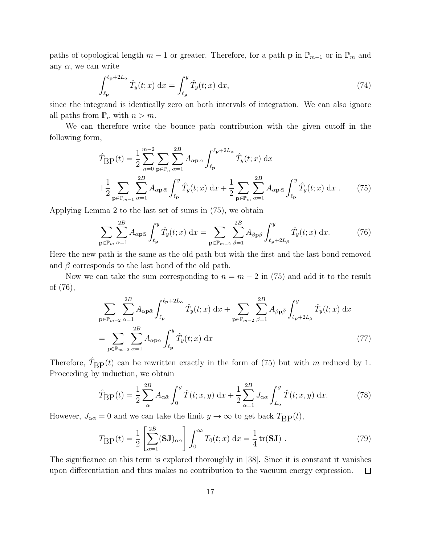paths of topological length  $m-1$  or greater. Therefore, for a path **p** in  $\mathbb{P}_{m-1}$  or in  $\mathbb{P}_m$  and any  $\alpha$ , we can write

$$
\int_{\ell_{\mathbf{p}}}^{\ell_{\mathbf{p}}+2L_{\alpha}} \hat{T}_{y}(t;x) dx = \int_{\ell_{\mathbf{p}}}^{y} \hat{T}_{y}(t;x) dx,
$$
\n(74)

since the integrand is identically zero on both intervals of integration. We can also ignore all paths from  $\mathbb{P}_n$  with  $n > m$ .

We can therefore write the bounce path contribution with the given cutoff in the following form,

$$
\hat{T}_{\text{BP}}(t) = \frac{1}{2} \sum_{n=0}^{m-2} \sum_{\mathbf{p} \in \mathbb{P}_n} \sum_{\alpha=1}^{2B} A_{\alpha \mathbf{p} \bar{\alpha}} \int_{\ell_{\mathbf{p}}}^{\ell_{\mathbf{p}} + 2L_{\alpha}} \hat{T}_{y}(t; x) dx \n+ \frac{1}{2} \sum_{\mathbf{p} \in \mathbb{P}_{m-1}} \sum_{\alpha=1}^{2B} A_{\alpha \mathbf{p} \bar{\alpha}} \int_{\ell_{\mathbf{p}}}^{y} \hat{T}_{y}(t; x) dx + \frac{1}{2} \sum_{\mathbf{p} \in \mathbb{P}_m} \sum_{\alpha=1}^{2B} A_{\alpha \mathbf{p} \bar{\alpha}} \int_{\ell_{\mathbf{p}}}^{y} \hat{T}_{y}(t; x) dx.
$$
\n(75)

Applying Lemma 2 to the last set of sums in (75), we obtain

$$
\sum_{\mathbf{p}\in\mathbb{P}_m} \sum_{\alpha=1}^{2B} A_{\alpha\mathbf{p}\bar{\alpha}} \int_{\ell_{\mathbf{p}}}^{y} \hat{T}_y(t;x) dx = \sum_{\mathbf{p}\in\mathbb{P}_{m-2}} \sum_{\beta=1}^{2B} A_{\beta\mathbf{p}\bar{\beta}} \int_{\ell_{\mathbf{p}}+2L_{\beta}}^{y} \hat{T}_y(t;x) dx.
$$
 (76)

Here the new path is the same as the old path but with the first and the last bond removed and  $\beta$  corresponds to the last bond of the old path.

Now we can take the sum corresponding to  $n = m - 2$  in (75) and add it to the result of (76),

$$
\sum_{\mathbf{p}\in\mathbb{P}_{m-2}}\sum_{\alpha=1}^{2B} A_{\alpha\mathbf{p}\bar{\alpha}} \int_{\ell_{\mathbf{p}}}^{\ell_{\mathbf{p}}+2L_{\alpha}} \hat{T}_{y}(t;x) dx + \sum_{\mathbf{p}\in\mathbb{P}_{m-2}}\sum_{\beta=1}^{2B} A_{\beta\mathbf{p}\bar{\beta}} \int_{\ell_{\mathbf{p}}+2L_{\beta}}^{y} \hat{T}_{y}(t;x) dx
$$
  
= 
$$
\sum_{\mathbf{p}\in\mathbb{P}_{m-2}}\sum_{\alpha=1}^{2B} A_{\alpha\mathbf{p}\bar{\alpha}} \int_{\ell_{\mathbf{p}}}^{y} \hat{T}_{y}(t;x) dx
$$
(77)

Therefore,  $\hat{T}_{\text{BP}}(t)$  can be rewritten exactly in the form of (75) but with m reduced by 1. Proceeding by induction, we obtain

$$
\hat{T}_{\text{BP}}(t) = \frac{1}{2} \sum_{\alpha}^{2B} A_{\alpha \bar{\alpha}} \int_0^y \hat{T}(t; x, y) \, \mathrm{d}x + \frac{1}{2} \sum_{\alpha=1}^{2B} J_{\alpha \alpha} \int_{L_{\alpha}}^y \hat{T}(t; x, y) \, \mathrm{d}x. \tag{78}
$$

However,  $J_{\alpha\alpha} = 0$  and we can take the limit  $y \to \infty$  to get back  $T_{\rm BP}(t)$ ,

$$
T_{\rm BP}(t) = \frac{1}{2} \left[ \sum_{\alpha=1}^{2B} (\mathbf{S}\mathbf{J})_{\alpha\alpha} \right] \int_0^\infty T_0(t; x) \, \mathrm{d}x = \frac{1}{4} \operatorname{tr}(\mathbf{S}\mathbf{J}) \; . \tag{79}
$$

The significance on this term is explored thoroughly in [38]. Since it is constant it vanishes upon differentiation and thus makes no contribution to the vacuum energy expression.  $\Box$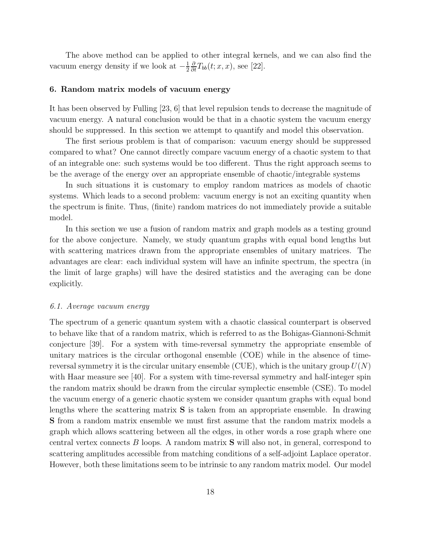The above method can be applied to other integral kernels, and we can also find the vacuum energy density if we look at  $-\frac{1}{2}$ 2  $\frac{\partial}{\partial t}T_{bb}(t; x, x)$ , see [22].

#### 6. Random matrix models of vacuum energy

It has been observed by Fulling [23, 6] that level repulsion tends to decrease the magnitude of vacuum energy. A natural conclusion would be that in a chaotic system the vacuum energy should be suppressed. In this section we attempt to quantify and model this observation.

The first serious problem is that of comparison: vacuum energy should be suppressed compared to what? One cannot directly compare vacuum energy of a chaotic system to that of an integrable one: such systems would be too different. Thus the right approach seems to be the average of the energy over an appropriate ensemble of chaotic/integrable systems

In such situations it is customary to employ random matrices as models of chaotic systems. Which leads to a second problem: vacuum energy is not an exciting quantity when the spectrum is finite. Thus, (finite) random matrices do not immediately provide a suitable model.

In this section we use a fusion of random matrix and graph models as a testing ground for the above conjecture. Namely, we study quantum graphs with equal bond lengths but with scattering matrices drawn from the appropriate ensembles of unitary matrices. The advantages are clear: each individual system will have an infinite spectrum, the spectra (in the limit of large graphs) will have the desired statistics and the averaging can be done explicitly.

#### 6.1. Average vacuum energy

The spectrum of a generic quantum system with a chaotic classical counterpart is observed to behave like that of a random matrix, which is referred to as the Bohigas-Giannoni-Schmit conjecture [39]. For a system with time-reversal symmetry the appropriate ensemble of unitary matrices is the circular orthogonal ensemble (COE) while in the absence of timereversal symmetry it is the circular unitary ensemble (CUE), which is the unitary group  $U(N)$ with Haar measure see [40]. For a system with time-reversal symmetry and half-integer spin the random matrix should be drawn from the circular symplectic ensemble (CSE). To model the vacuum energy of a generic chaotic system we consider quantum graphs with equal bond lengths where the scattering matrix S is taken from an appropriate ensemble. In drawing S from a random matrix ensemble we must first assume that the random matrix models a graph which allows scattering between all the edges, in other words a rose graph where one central vertex connects B loops. A random matrix S will also not, in general, correspond to scattering amplitudes accessible from matching conditions of a self-adjoint Laplace operator. However, both these limitations seem to be intrinsic to any random matrix model. Our model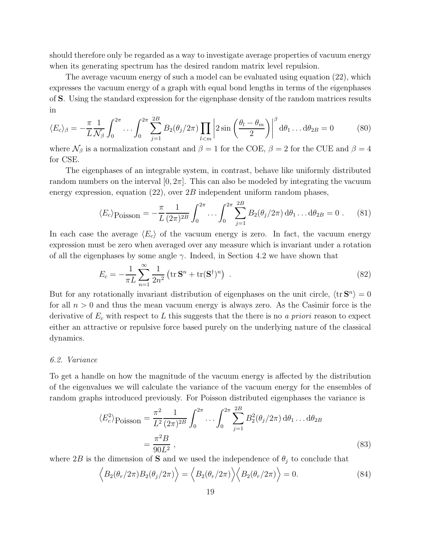should therefore only be regarded as a way to investigate average properties of vacuum energy when its generating spectrum has the desired random matrix level repulsion.

The average vacuum energy of such a model can be evaluated using equation (22), which expresses the vacuum energy of a graph with equal bond lengths in terms of the eigenphases of S. Using the standard expression for the eigenphase density of the random matrices results in

$$
\langle E_c \rangle_{\beta} = -\frac{\pi}{L} \frac{1}{\mathcal{N}_{\beta}} \int_0^{2\pi} \dots \int_0^{2\pi} \sum_{j=1}^{2B} B_2(\theta_j/2\pi) \prod_{l < m} \left| 2 \sin \left( \frac{\theta_l - \theta_m}{2} \right) \right|^\beta \mathrm{d}\theta_1 \dots \mathrm{d}\theta_{2B} = 0 \tag{80}
$$

where  $\mathcal{N}_{\beta}$  is a normalization constant and  $\beta = 1$  for the COE,  $\beta = 2$  for the CUE and  $\beta = 4$ for CSE.

The eigenphases of an integrable system, in contrast, behave like uniformly distributed random numbers on the interval  $[0, 2\pi]$ . This can also be modeled by integrating the vacuum energy expression, equation  $(22)$ , over  $2B$  independent uniform random phases,

$$
\langle E_c \rangle \text{Poisson} = -\frac{\pi}{L} \frac{1}{(2\pi)^{2B}} \int_0^{2\pi} \dots \int_0^{2\pi} \sum_{j=1}^{2B} B_2(\theta_j/2\pi) \, d\theta_1 \dots d\theta_{2B} = 0 \tag{81}
$$

In each case the average  $\langle E_c \rangle$  of the vacuum energy is zero. In fact, the vacuum energy expression must be zero when averaged over any measure which is invariant under a rotation of all the eigenphases by some angle  $\gamma$ . Indeed, in Section 4.2 we have shown that

$$
E_c = -\frac{1}{\pi L} \sum_{n=1}^{\infty} \frac{1}{2n^2} \left( \text{tr } \mathbf{S}^n + \text{tr}(\mathbf{S}^\dagger)^n \right) \tag{82}
$$

But for any rotationally invariant distribution of eigenphases on the unit circle,  $\langle \text{tr } \mathbf{S}^n \rangle = 0$ for all  $n > 0$  and thus the mean vacuum energy is always zero. As the Casimir force is the derivative of  $E_c$  with respect to L this suggests that the there is no a priori reason to expect either an attractive or repulsive force based purely on the underlying nature of the classical dynamics.

#### 6.2. Variance

To get a handle on how the magnitude of the vacuum energy is affected by the distribution of the eigenvalues we will calculate the variance of the vacuum energy for the ensembles of random graphs introduced previously. For Poisson distributed eigenphases the variance is

$$
\langle E_c^2 \rangle \text{Poisson} = \frac{\pi^2}{L^2} \frac{1}{(2\pi)^{2B}} \int_0^{2\pi} \dots \int_0^{2\pi} \sum_{j=1}^{2B} B_2^2(\theta_j/2\pi) \, d\theta_1 \dots d\theta_{2B}
$$

$$
= \frac{\pi^2 B}{90 L^2} \,, \tag{83}
$$

where 2B is the dimension of S and we used the independence of  $\theta_j$  to conclude that

$$
\langle B_2(\theta_r/2\pi)B_2(\theta_j/2\pi)\rangle = \langle B_2(\theta_r/2\pi)\rangle \langle B_2(\theta_r/2\pi)\rangle = 0.
$$
\n(84)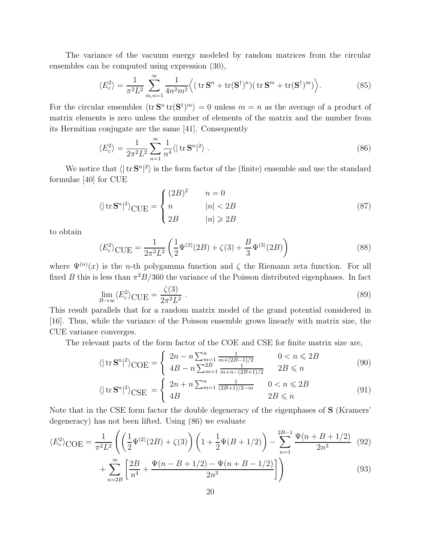The variance of the vacuum energy modeled by random matrices from the circular ensembles can be computed using expression (30),

$$
\langle E_c^2 \rangle = \frac{1}{\pi^2 L^2} \sum_{m,n=1}^{\infty} \frac{1}{4n^2 m^2} \Big\langle \left( \text{tr} \, \mathbf{S}^n + \text{tr}(\mathbf{S}^\dagger)^n \right) \left( \text{tr} \, \mathbf{S}^m + \text{tr}(\mathbf{S}^\dagger)^m \right) \Big\rangle. \tag{85}
$$

For the circular ensembles  $\langle \text{tr } \mathbf{S}^n \text{ tr }(\mathbf{S}^\dagger)^m \rangle = 0$  unless  $m = n$  as the average of a product of matrix elements is zero unless the number of elements of the matrix and the number from its Hermitian conjugate are the same [41]. Consequently

$$
\langle E_c^2 \rangle = \frac{1}{2\pi^2 L^2} \sum_{n=1}^{\infty} \frac{1}{n^4} \langle |\operatorname{tr} \mathbf{S}^n|^2 \rangle \ . \tag{86}
$$

We notice that  $\langle | \text{ tr } \mathbf{S}^n |^2 \rangle$  is the form factor of the (finite) ensemble and use the standard formulae [40] for CUE

$$
\langle |\operatorname{tr} \mathbf{S}^n|^2 \rangle_{\text{CUE}} = \begin{cases} (2B)^2 & n = 0\\ n & |n| < 2B\\ 2B & |n| \geq 2B \end{cases} \tag{87}
$$

to obtain

$$
\langle E_c^2 \rangle_{\text{CUE}} = \frac{1}{2\pi^2 L^2} \left( \frac{1}{2} \Psi^{(2)}(2B) + \zeta(3) + \frac{B}{3} \Psi^{(3)}(2B) \right)
$$
(88)

where  $\Psi^{(n)}(x)$  is the *n*-th polygamma function and  $\zeta$  the Riemann zeta function. For all fixed B this is less than  $\pi^2 B/360$  the variance of the Poisson distributed eigenphases. In fact

$$
\lim_{B \to \infty} \langle E_c^2 \rangle_{\text{CUE}} = \frac{\zeta(3)}{2\pi^2 L^2} \,. \tag{89}
$$

This result parallels that for a random matrix model of the grand potential considered in [16]. Thus, while the variance of the Poisson ensemble grows linearly with matrix size, the CUE variance converges.

The relevant parts of the form factor of the COE and CSE for finite matrix size are,

$$
\langle |\operatorname{tr} \mathbf{S}^n|^2 \rangle_{\text{COE}} = \begin{cases} 2n - n \sum_{m=1}^n \frac{1}{m + (2B - 1)/2} & 0 < n \leq 2B \\ 4B - n \sum_{m=1}^{2B} \frac{1}{m + n - (2B + 1)/2} & 2B \leq n \end{cases}
$$
(90)

$$
\langle |\operatorname{tr} \mathbf{S}^n|^2 \rangle_{\text{CSE}} = \begin{cases} 2n + n \sum_{m=1}^n \frac{1}{(2B+1)/2-m} & 0 < n \leq 2B \\ 4B & 2B \leq n \end{cases} \tag{91}
$$

Note that in the CSE form factor the double degeneracy of the eigenphases of S (Kramers' degeneracy) has not been lifted. Using (86) we evaluate

$$
\langle E_c^2 \rangle_{\text{COE}} = \frac{1}{\pi^2 L^2} \left( \left( \frac{1}{2} \Psi^{(2)}(2B) + \zeta(3) \right) \left( 1 + \frac{1}{2} \Psi(B + 1/2) \right) - \sum_{n=1}^{2B-1} \frac{\Psi(n + B + 1/2)}{2n^3} \tag{92}
$$

$$
+\sum_{n=2B}^{\infty} \left[ \frac{2B}{n^4} + \frac{\Psi(n-B+1/2) - \Psi(n+B-1/2)}{2n^3} \right] \Bigg)
$$
(93)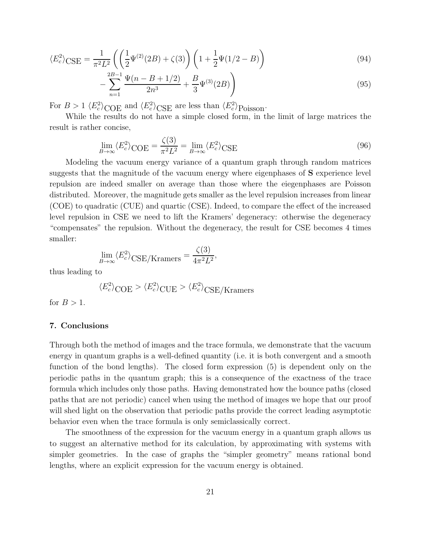$$
\langle E_c^2 \rangle_{\text{CSE}} = \frac{1}{\pi^2 L^2} \left( \left( \frac{1}{2} \Psi^{(2)}(2B) + \zeta(3) \right) \left( 1 + \frac{1}{2} \Psi(1/2 - B) \right) \right) \tag{94}
$$

$$
-\sum_{n=1}^{2B-1} \frac{\Psi(n-B+1/2)}{2n^3} + \frac{B}{3} \Psi^{(3)}(2B)\right)
$$
\n(95)

For  $B > 1 \langle E_c^2 \rangle_{\text{COE}}$  and  $\langle E_c^2 \rangle_{\text{CSE}}$  are less than  $\langle E_c^2 \rangle_{\text{Poisson}}$ .

While the results do not have a simple closed form, in the limit of large matrices the result is rather concise,

$$
\lim_{B \to \infty} \langle E_c^2 \rangle_{\text{COE}} = \frac{\zeta(3)}{\pi^2 L^2} = \lim_{B \to \infty} \langle E_c^2 \rangle_{\text{CSE}} \tag{96}
$$

Modeling the vacuum energy variance of a quantum graph through random matrices suggests that the magnitude of the vacuum energy where eigenphases of S experience level repulsion are indeed smaller on average than those where the eiegenphases are Poisson distributed. Moreover, the magnitude gets smaller as the level repulsion increases from linear (COE) to quadratic (CUE) and quartic (CSE). Indeed, to compare the effect of the increased level repulsion in CSE we need to lift the Kramers' degeneracy: otherwise the degeneracy "compensates" the repulsion. Without the degeneracy, the result for CSE becomes 4 times smaller:

$$
\lim_{B \to \infty} \langle E_c^2 \rangle_{\text{CSE/Kramers}} = \frac{\zeta(3)}{4\pi^2 L^2},
$$

thus leading to

$$
\langle E_c^2 \rangle_{\text{COE}} > \langle E_c^2 \rangle_{\text{CUE}} > \langle E_c^2 \rangle_{\text{CSE/Kramers}}
$$

for  $B > 1$ .

# 7. Conclusions

Through both the method of images and the trace formula, we demonstrate that the vacuum energy in quantum graphs is a well-defined quantity (i.e. it is both convergent and a smooth function of the bond lengths). The closed form expression (5) is dependent only on the periodic paths in the quantum graph; this is a consequence of the exactness of the trace formula which includes only those paths. Having demonstrated how the bounce paths (closed paths that are not periodic) cancel when using the method of images we hope that our proof will shed light on the observation that periodic paths provide the correct leading asymptotic behavior even when the trace formula is only semiclassically correct.

The smoothness of the expression for the vacuum energy in a quantum graph allows us to suggest an alternative method for its calculation, by approximating with systems with simpler geometries. In the case of graphs the "simpler geometry" means rational bond lengths, where an explicit expression for the vacuum energy is obtained.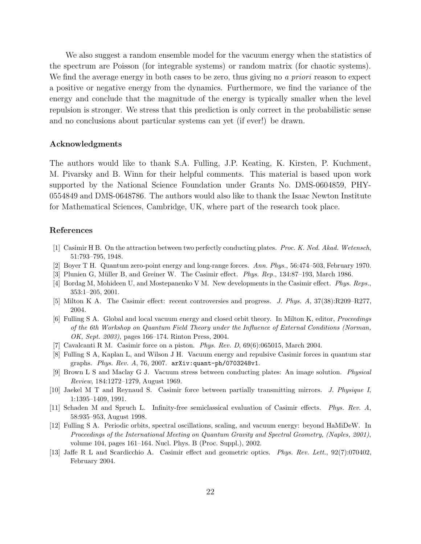We also suggest a random ensemble model for the vacuum energy when the statistics of the spectrum are Poisson (for integrable systems) or random matrix (for chaotic systems). We find the average energy in both cases to be zero, thus giving no a priori reason to expect a positive or negative energy from the dynamics. Furthermore, we find the variance of the energy and conclude that the magnitude of the energy is typically smaller when the level repulsion is stronger. We stress that this prediction is only correct in the probabilistic sense and no conclusions about particular systems can yet (if ever!) be drawn.

# Acknowledgments

The authors would like to thank S.A. Fulling, J.P. Keating, K. Kirsten, P. Kuchment, M. Pivarsky and B. Winn for their helpful comments. This material is based upon work supported by the National Science Foundation under Grants No. DMS-0604859, PHY-0554849 and DMS-0648786. The authors would also like to thank the Isaac Newton Institute for Mathematical Sciences, Cambridge, UK, where part of the research took place.

# References

- [1] Casimir H B. On the attraction between two perfectly conducting plates. *Proc. K. Ned. Akad. Wetensch*, 51:793–795, 1948.
- [2] Boyer T H. Quantum zero-point energy and long-range forces. *Ann. Phys.*, 56:474–503, February 1970.
- [3] Plunien G, Müller B, and Greiner W. The Casimir effect. *Phys. Rep.*, 134:87–193, March 1986.
- [4] Bordag M, Mohideen U, and Mostepanenko V M. New developments in the Casimir effect. *Phys. Reps.*, 353:1–205, 2001.
- [5] Milton K A. The Casimir effect: recent controversies and progress. *J. Phys. A*, 37(38):R209–R277, 2004.
- [6] Fulling S A. Global and local vacuum energy and closed orbit theory. In Milton K, editor, *Proceedings of the 6th Workshop on Quantum Field Theory under the Influence of External Conditions (Norman, OK, Sept. 2003)*, pages 166–174. Rinton Press, 2004.
- [7] Cavalcanti R M. Casimir force on a piston. *Phys. Rev. D*, 69(6):065015, March 2004.
- [8] Fulling S A, Kaplan L, and Wilson J H. Vacuum energy and repulsive Casimir forces in quantum star graphs. *Phys. Rev. A*, 76, 2007. arXiv:quant-ph/0703248v1.
- [9] Brown L S and Maclay G J. Vacuum stress between conducting plates: An image solution. *Physical Review*, 184:1272–1279, August 1969.
- [10] Jaekel M T and Reynaud S. Casimir force between partially transmitting mirrors. *J. Physique I*, 1:1395–1409, 1991.
- [11] Schaden M and Spruch L. Infinity-free semiclassical evaluation of Casimir effects. *Phys. Rev. A*, 58:935–953, August 1998.
- [12] Fulling S A. Periodic orbits, spectral oscillations, scaling, and vacuum energy: beyond HaMiDeW. In *Proceedings of the International Meeting on Quantum Gravity and Spectral Geometry, (Naples, 2001)*, volume 104, pages 161–164. Nucl. Phys. B (Proc. Suppl.), 2002.
- [13] Jaffe R L and Scardicchio A. Casimir effect and geometric optics. *Phys. Rev. Lett.*, 92(7):070402, February 2004.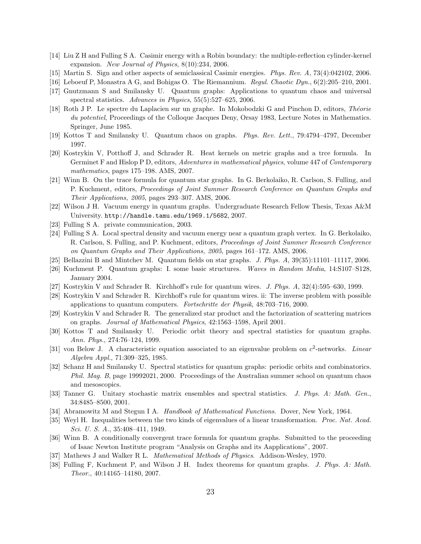- [14] Liu Z H and Fulling S A. Casimir energy with a Robin boundary: the multiple-reflection cylinder-kernel expansion. *New Journal of Physics*, 8(10):234, 2006.
- [15] Martin S. Sign and other aspects of semiclassical Casimir energies. *Phys. Rev. A*, 73(4):042102, 2006.
- [16] Leboeuf P, Monastra A G, and Bohigas O. The Riemannium. *Regul. Chaotic Dyn.*, 6(2):205–210, 2001.
- [17] Gnutzmann S and Smilansky U. Quantum graphs: Applications to quantum chaos and universal spectral statistics. *Advances in Physics*, 55(5):527–625, 2006.
- [18] Roth J P. Le spectre du Laplacien sur un graphe. In Mokobodzki G and Pinchon D, editors, *Théorie du potentiel*, Proceedings of the Colloque Jacques Deny, Orsay 1983, Lecture Notes in Mathematics. Springer, June 1985.
- [19] Kottos T and Smilansky U. Quantum chaos on graphs. *Phys. Rev. Lett.*, 79:4794–4797, December 1997.
- [20] Kostrykin V, Potthoff J, and Schrader R. Heat kernels on metric graphs and a trce formula. In Germinet F and Hislop P D, editors, *Adventures in mathematical physics*, volume 447 of *Contemporary mathematics*, pages 175–198. AMS, 2007.
- [21] Winn B. On the trace formula for quantum star graphs. In G. Berkolaiko, R. Carlson, S. Fulling, and P. Kuchment, editors, *Proceedings of Joint Summer Research Conference on Quantum Graphs and Their Applications, 2005*, pages 293–307. AMS, 2006.
- [22] Wilson J H. Vacuum energy in quantum graphs. Undergraduate Research Fellow Thesis, Texas A&M University. http://handle.tamu.edu/1969.1/5682, 2007.
- [23] Fulling S A. private communication, 2003.
- [24] Fulling S A. Local spectral density and vacuum energy near a quantum graph vertex. In G. Berkolaiko, R. Carlson, S. Fulling, and P. Kuchment, editors, *Proceedings of Joint Summer Research Conference on Quantum Graphs and Their Applications, 2005*, pages 161–172. AMS, 2006.
- [25] Bellazzini B and Mintchev M. Quantum fields on star graphs. *J. Phys. A*, 39(35):11101–11117, 2006.
- [26] Kuchment P. Quantum graphs: I. some basic structures. *Waves in Random Media*, 14:S107–S128, January 2004.
- [27] Kostrykin V and Schrader R. Kirchhoff's rule for quantum wires. *J. Phys. A*, 32(4):595–630, 1999.
- [28] Kostrykin V and Schrader R. Kirchhoff's rule for quantum wires. ii: The inverse problem with possible applications to quantum computers. *Fortschritte der Physik*, 48:703–716, 2000.
- [29] Kostrykin V and Schrader R. The generalized star product and the factorization of scattering matrices on graphs. *Journal of Mathematical Physics*, 42:1563–1598, April 2001.
- [30] Kottos T and Smilansky U. Periodic orbit theory and spectral statistics for quantum graphs. *Ann. Phys.*, 274:76–124, 1999.
- [31] von Below J. A characteristic equation associated to an eigenvalue problem on  $c^2$ -networks. *Linear Algebra Appl.*, 71:309–325, 1985.
- [32] Schanz H and Smilansky U. Spectral statistics for quantum graphs: periodic orbits and combinatorics. *Phil. Mag. B*, page 19992021, 2000. Proceedings of the Australian summer school on quantum chaos and mesoscopics.
- [33] Tanner G. Unitary stochastic matrix ensembles and spectral statistics. *J. Phys. A: Math. Gen.*, 34:8485–8500, 2001.
- [34] Abramowitz M and Stegun I A. *Handbook of Mathematical Functions*. Dover, New York, 1964.
- [35] Weyl H. Inequalities between the two kinds of eigenvalues of a linear transformation. *Proc. Nat. Acad. Sci. U. S. A.*, 35:408–411, 1949.
- [36] Winn B. A conditionally convergent trace formula for quantum graphs. Submitted to the proceeding of Isaac Newton Institute program "Analysis on Graphs and its Aapplications", 2007.
- [37] Mathews J and Walker R L. *Mathematical Methods of Physics*. Addison-Wesley, 1970.
- [38] Fulling F, Kuchment P, and Wilson J H. Index theorems for quantum graphs. *J. Phys. A: Math. Theor.*, 40:14165–14180, 2007.